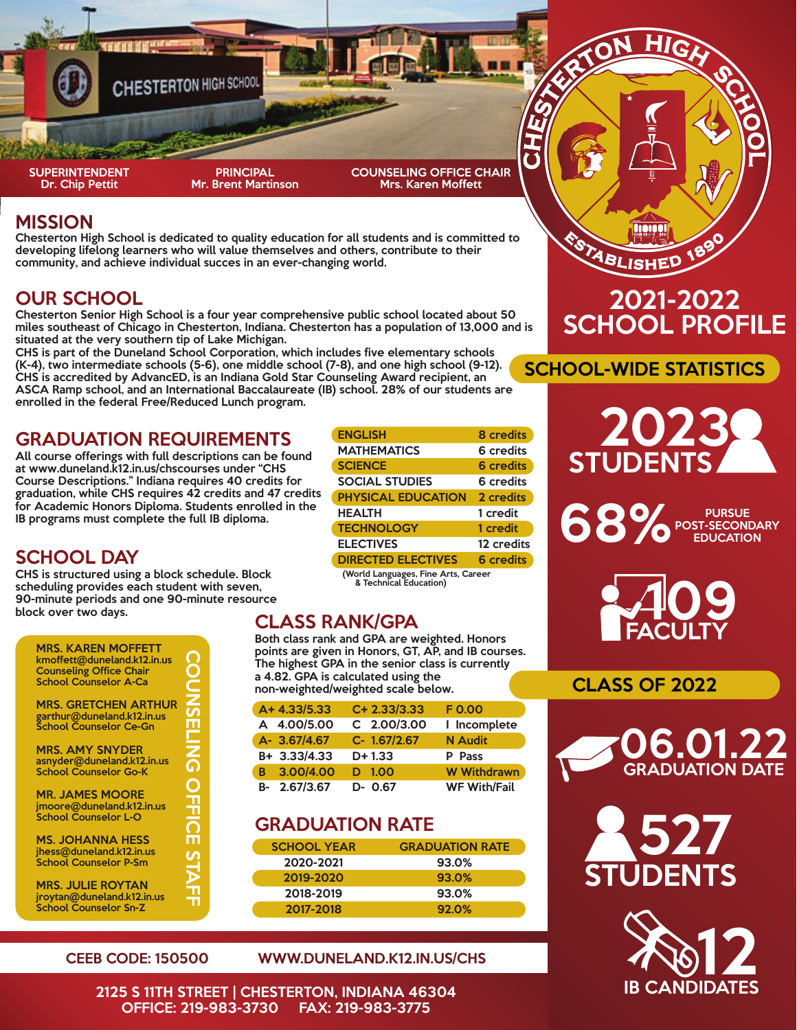

#### MISSION

Chesterton High School is dedicated to quality education for all students and is committed to developing lifelong learners who will value themselves and others, contribute to their community, and achieve individual succes in an ever-changing world.

## OUR SCHOOL

Chesterton Senior High School is a four year comprehensive public school located about 50 miles southeast of Chicago in Chesterton, Indiana. Chesterton has a population of 13,000 and is situated at the very southern tip of Lake Michigan.

CHS is part of the Duneland School Corporation, which includes five elementary schools (K-4), two intermediate schools (5-6), one middle school (7-8), and one high school (9-12).

CHS is accredited by AdvancED, is an Indiana Gold Star Counseling Award recipient, an ASCA Ramp school, and an International Baccalaureate (IB) school. 28% of our students are enrolled in the federal Free/Reduced Lunch program.

#### GRADUATION REQUIREMENTS

All course offerings with full descriptions can be found at www.duneland.k12.in.us/chscourses under "CHS Course Descriptions." Indiana requires 40 credits for graduation, while CHS requires 42 credits and 47 credits for Academic Honors Diploma. Students enrolled in the IB programs must complete the full IB diploma.

## SCHOOL DAY

CHS is structured using a block schedule. Block scheduling provides each student with seven, 90-minute periods and one 90-minute resource block over two days.<br>
CLASS RANK/GPA

| <b>MRS. KAREN MOFFETT</b><br>kmoffett@duneland.k12.in.us<br><b>Counseling Office Chair</b><br><b>School Counselor A-Ca</b> |  |
|----------------------------------------------------------------------------------------------------------------------------|--|
| <b>MRS. GRETCHEN ARTHUR</b><br>garthur@duneland.k12.in.us<br>School Counselor Ce-Gn                                        |  |
| <b>MRS. AMY SNYDER</b><br>asnyder@duneland.k12.in.us<br><b>School Counselor Go-K</b>                                       |  |
| <b>MR. JAMES MOORE</b><br>jmoore@duneland.k12.in.us<br><b>School Counselor L-O</b>                                         |  |
| <b>MS. JOHANNA HESS</b><br>jhess@duneland.k12.in.us<br><b>School Counselor P-Sm</b>                                        |  |
| <b>MRS. JULIE ROYTAN</b><br>jroytan@duneland.k12.in.us<br><b>School Counselor Sn-Z</b>                                     |  |

| <b>ENGLISH</b>            | <b>8</b> credits |
|---------------------------|------------------|
| <b>MATHEMATICS</b>        | 6 credits        |
| <b>SCIENCE</b>            | <b>6</b> credits |
| <b>SOCIAL STUDIES</b>     | 6 credits        |
| <b>PHYSICAL EDUCATION</b> | 2 credits        |
| <b>HEALTH</b>             | 1 credit         |
| <b>TECHNOLOGY</b>         | 1 credit         |
| <b>ELECTIVES</b>          | 12 credits       |
| <b>DIRECTED ELECTIVES</b> | <b>6</b> credits |

(World Languages, Fine Arts, Career & Technical Education)

Both class rank and GPA are weighted. Honors points are given in Honors, GT, AP, and IB courses. The highest GPA in the senior class is currently a 4.82. GPA is calculated using the non-weighted/weighted scale below.

| A+4.33/5.33  | C+ 2.33/3.33 | F 0.00              |
|--------------|--------------|---------------------|
| A 4.00/5.00  | C 2.00/3.00  | I Incomplete        |
| A- 3.67/4.67 | C- 1.67/2.67 | <b>N</b> Audit      |
| B+ 3.33/4.33 | $D+1.33$     | P Pass              |
| B 3.00/4.00  | 1.00<br>D    | <b>W</b> Withdrawn  |
| B- 2.67/3.67 | $D - 0.67$   | <b>WF With/Fail</b> |

## GRADUATION RATE

| <b>SCHOOL YEAR</b> | <b>GRADUATION RATE</b> |
|--------------------|------------------------|
| 2020-2021          | 93.0%                  |
| 2019-2020          | 93.0%                  |
| 2018-2019          | 93.0%                  |
| 2017-2018          | 92.0%                  |

#### CEEB CODE: 150500 WWW.DUNELAND.K12.IN.US/CHS

2125 S 11TH STREET | CHESTERTON, INDIANA 46304 OFFICE: 219-983-3730



SCHOOL-WIDE STATISTICS

<u>Naith</u>

TABLISHED

# **STUDENTS** 2023

PURSUE POST-SECONDARY



## CLASS OF 2022